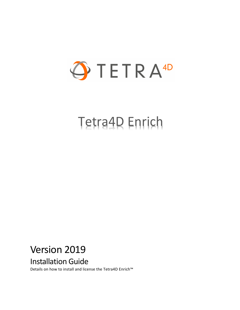

# Tetra4D Enrich

# Version 2019

Installation Guide

Details on how to install and license the Tetra4D Enrich™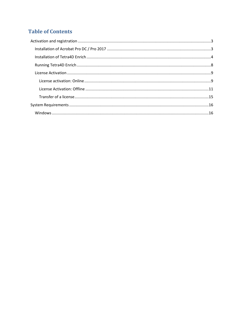### **Table of Contents**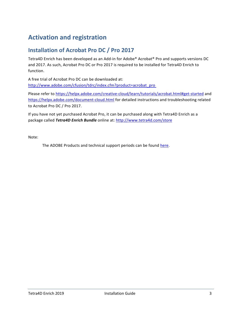## <span id="page-2-0"></span>**Activation and registration**

#### <span id="page-2-1"></span>**Installation of Acrobat Pro DC / Pro 2017**

Tetra4D Enrich has been developed as an Add-in for Adobe® Acrobat® Pro and supports versions DC and 2017. As such, Acrobat Pro DC or Pro 2017 is required to be installed for Tetra4D Enrich to function.

A free trial of Acrobat Pro DC can be downloaded at: [http://www.adobe.com/cfusion/tdrc/index.cfm?product=acrobat\\_pro](http://www.adobe.com/cfusion/tdrc/index.cfm?product=acrobat_pro)

Please refer to<https://helpx.adobe.com/creative-cloud/learn/tutorials/acrobat.html#get-started> and <https://helpx.adobe.com/document-cloud.html> for detailed instructions and troubleshooting related to Acrobat Pro DC / Pro 2017.

If you have not yet purchased Acrobat Pro, it can be purchased along with Tetra4D Enrich as a package called *Tetra4D Enrich Bundle* online at:<http://www.tetra4d.com/store>

Note:

The ADOBE Products and technical support periods can be found [here.](https://helpx.adobe.com/support/programs/eol-matrix.html)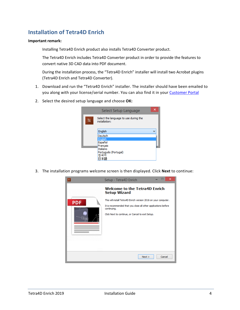#### <span id="page-3-0"></span>**Installation of Tetra4D Enrich**

#### **Important remark:**

Installing Tetra4D Enrich product also installs Tetra4D Converter product.

The Tetra4D Enrich includes Tetra4D Converter product in order to provide the features to convert native 3D CAD data into PDF document.

During the installation process, the "Tetra4D Enrich" installer will install two Acrobat plugins (Tetra4D Enrich and Tetra4D Converter).

- 1. Download and run the "Tetra4D Enrich" installer. The installer should have been emailed to you along with your license/serial number. You can also find it in your [Customer Portal](https://system.netsuite.com/core/media/media.nl?id=1512340&c=1268810&h=7381c1353a387fc86a78&_xt=.html)
- 2. Select the desired setup language and choose **OK:**

|    | Select Setup Language                                  |  |
|----|--------------------------------------------------------|--|
| TE | Select the language to use during the<br>installation: |  |
|    | English                                                |  |
|    | Deutsch                                                |  |
|    | English<br>Español                                     |  |
|    | Français                                               |  |
|    | Italiano                                               |  |
|    | Português (Portugal)                                   |  |
|    | 하                                                      |  |

3. The installation programs welcome screen is then displayed. Click **Next** to continue:

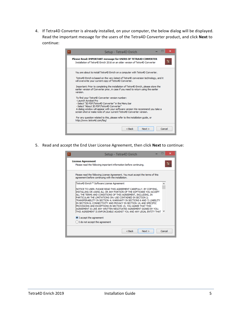4. If Tetra4D Converter is already installed, on your computer, the below dialog will be displayed. Read the important message for the users of the Tetra4D Converter product, and click **Next** to continue:

| ×<br>Setup - Tetra4D Enrich<br>TF                                                                                                                                                                                                                                                                                                                                                                                                                  |
|----------------------------------------------------------------------------------------------------------------------------------------------------------------------------------------------------------------------------------------------------------------------------------------------------------------------------------------------------------------------------------------------------------------------------------------------------|
| <b>Please Read: IMPORTANT message for USERS OF TETRA4D CONVERTER</b><br>TE<br>Installation of Tetra4D Enrich 2016 on an older version of Tetra4D Converter                                                                                                                                                                                                                                                                                         |
| You are about to install Tetra4D Enrich on a computer with Tetra4D Converter.<br>Tetra4D Enrich is based on the very latest of Tetra4D conversion technology, and it<br>will overwrite your current copy of Tetra4D Converter.<br>Important: Prior to completing the installation of Tetra4D Enrich, please store the<br>earlier version of Converter prior, in case if you need to return using the earlier<br>version.                           |
| To find your Tetra4D Converter version number:<br>- Launch Acrobat Pro<br>- Select "3D PDF/Tetra4D Converter" in the Menu bar<br>- Select "About 3D PDF/Tetra4D Converter"<br>A dialog window will appear with your software version We recommend you take a<br>screen shot or make note of your current Tetra4D Converter version.<br>For any question related to this, please refer to the installation guide, or<br>http://www.tetra4d.com/faq/ |
| $<$ Back<br>Cancel<br>Next                                                                                                                                                                                                                                                                                                                                                                                                                         |

5. Read and accept the End User License Agreement, then click **Next** to continue:

| Setup - Tetra4D Enrich                                                                                                                                                                                                                                                                                                                                                                                                                                                                                                                                                                                                            |        | ×  |
|-----------------------------------------------------------------------------------------------------------------------------------------------------------------------------------------------------------------------------------------------------------------------------------------------------------------------------------------------------------------------------------------------------------------------------------------------------------------------------------------------------------------------------------------------------------------------------------------------------------------------------------|--------|----|
| <b>License Agreement</b><br>Please read the following important information before continuing.                                                                                                                                                                                                                                                                                                                                                                                                                                                                                                                                    |        | TE |
| Please read the following License Agreement. You must accept the terms of this<br>agreement before continuing with the installation.                                                                                                                                                                                                                                                                                                                                                                                                                                                                                              |        |    |
| Tetra4D Enrich™ Software License Agreement                                                                                                                                                                                                                                                                                                                                                                                                                                                                                                                                                                                        | ۸      |    |
| INOTICE TO USER: PLEASE READ THIS AGREEMENT CAREFULLY, BY COPYING,<br>INSTALLING OR USING ALL OR ANY PORTION OF THE SOFTWARE YOU ACCEPT<br>ALL THE TERMS AND CONDITIONS OF THIS AGREEMENT, INCLUDING, IN<br>PARTICULAR THE LIMITATIONS ON: USE CONTAINED IN SECTION 2;<br>TRANSFERABILITY IN SECTION 4; WARRANTY IN SECTIONS 6 AND 7; LIABILITY<br>IN SECTION 8; CONNECTIVITY AND PRIVACY IN SECTION 14; AND SPECIFIC<br>PROVISIONS AND EXCEPTIONS IN SECTION 15, YOU AGREE THAT THIS<br>AGREEMENT IS LIKE ANY WRITTEN NEGOTIATED AGREEMENT SIGNED BY YOU.<br>THIS AGREEMENT IS ENFORCEABLE AGAINST YOU AND ANY LEGAL ENTITY THAT |        |    |
| I accept the agreement                                                                                                                                                                                                                                                                                                                                                                                                                                                                                                                                                                                                            |        |    |
| $\bigcirc$ I do not accept the agreement                                                                                                                                                                                                                                                                                                                                                                                                                                                                                                                                                                                          |        |    |
| $Back$<br>Next                                                                                                                                                                                                                                                                                                                                                                                                                                                                                                                                                                                                                    | Cancel |    |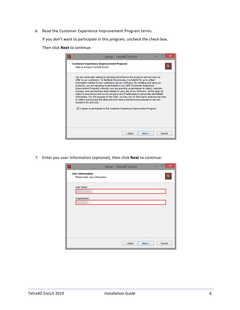6. Read the Customer Experience Improvement Program terms.

If you don't want to participate in this program, uncheck the check-box.

Then click **Next** to continue:

| $\times$<br>Setup - Tetra4D Enrich                                                                                                                                                                                                                                                                                                                                                                                                                                                                                                                                                                                                                                                                                                                                                                                                                                                                       |
|----------------------------------------------------------------------------------------------------------------------------------------------------------------------------------------------------------------------------------------------------------------------------------------------------------------------------------------------------------------------------------------------------------------------------------------------------------------------------------------------------------------------------------------------------------------------------------------------------------------------------------------------------------------------------------------------------------------------------------------------------------------------------------------------------------------------------------------------------------------------------------------------------------|
| <b>Customer Experience Improvement Program</b><br>Help us enhance Tetra4D Enrich                                                                                                                                                                                                                                                                                                                                                                                                                                                                                                                                                                                                                                                                                                                                                                                                                         |
| We are continually seeking to develop and enhance the products and services we<br>offer to our customers. To facilitate this process, it is helpful for us to collect<br>information related to how customers use our software. By installing and using our<br>products, you are agreeing to participate in our CEIP (Customer Experience<br>Improvement Program) whereby you are granting us permission to collect, maintain,<br>process, and use analytics data related to your use of our Software. All the data we<br>collect is anonymous and we do not store any IP addresses or personally identifiable<br>information. For the purpose of the CEIP, we may rely on third party analytics services<br>to collect and process this data and such data is stored and processed on servers<br>located in EU and USA.<br>$ v $ I agree to participate to the Customer Experience Improvement Program. |
| $Back$<br>Cancel<br>Next                                                                                                                                                                                                                                                                                                                                                                                                                                                                                                                                                                                                                                                                                                                                                                                                                                                                                 |

7. Enter you user information (optional), then click **Next** to continue:

| Setup - Tetra4D Enrich<br>$\mathsf{TE}$                   | $\times$ |
|-----------------------------------------------------------|----------|
| <b>User Information</b><br>Please enter your information. | Te       |
| User Name:                                                |          |
| Organization:                                             |          |
|                                                           |          |
|                                                           |          |
|                                                           |          |
| $<$ Back<br>Next                                          | Cancel   |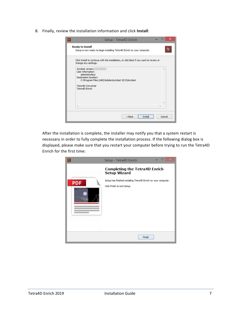8. Finally, review the installation information and click **Install**:

| Setup - Tetra4D Enrich                                                                                                                                                                      |                      | ×   |
|---------------------------------------------------------------------------------------------------------------------------------------------------------------------------------------------|----------------------|-----|
| <b>Ready to Install</b><br>Setup is now ready to begin installing Tetra4D Enrich on your computer.                                                                                          |                      | TE. |
| Click Install to continue with the installation, or click Back if you want to review or<br>change any settings.                                                                             |                      |     |
| Acrobat version:<br>User information:<br>administrateur<br>Destination location:<br>C: \Program Files (x86)\Adobe\Acrobat 2015\Acrobat<br>Tetra4D Converter<br>Tetra4D Enrich<br>$\epsilon$ | $\mathcal{O}_2$<br>w |     |
| $Back$<br>Instal                                                                                                                                                                            | Cancel               |     |

After the installation is complete, the installer may notify you that a system restart is necessary in order to fully complete the installation process. If the following dialog box is displayed, please make sure that you restart your computer before trying to run the Tetra4D Enrich for the first time:

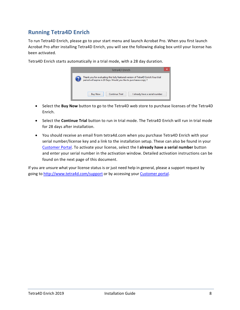#### <span id="page-7-0"></span>**Running Tetra4D Enrich**

To run Tetra4D Enrich, please go to your start menu and launch Acrobat Pro. When you first launch Acrobat Pro after installing Tetra4D Enrich, you will see the following dialog box until your license has been activated.

> Tetra4D Enrich Thank you for evaluating this fully featured version of Tetra4D Enrich.Your trial<br>period will expire in 28 Days. Would you like to purchase a copy ? **Buy Now Continue Trial** I already have a serial number

Tetra4D Enrich starts automatically in a trial mode, with a 28 day duration.

- Select the **Buy Now** button to go to the Tetra4D web store to purchase licenses of the Tetra4D Enrich.
- Select the **Continue Trial** button to run in trial mode. The Tetra4D Enrich will run in trial mode for 28 days after installation.
- You should receive an email from tetra4d.com when you purchase Tetra4D Enrich with your serial number/license key and a link to the installation setup. These can also be found in your [Customer Portal.](https://system.netsuite.com/core/media/media.nl?id=1512340&c=1268810&h=7381c1353a387fc86a78&_xt=.html) To activate your license, select the **I already have a serial number** button and enter your serial number in the activation window. Detailed activation instructions can be found on the next page of this document.

If you are unsure what your license status is or just need help in general, please a support request by going to<http://www.tetra4d.com/support> or by accessing you[r Customer portal.](https://system.netsuite.com/core/media/media.nl?id=1512340&c=1268810&h=7381c1353a387fc86a78&_xt=.html)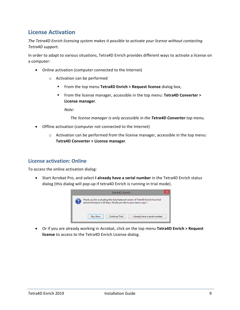#### <span id="page-8-0"></span>**License Activation**

*The Tetra4D Enrich licensing system makes it possible to activate your license without contacting Tetra4D support.*

In order to adapt to various situations, Tetra4D Enrich provides different ways to activate a license on a computer:

- Online activation (computer connected to the Internet)
	- o Activation can be performed
		- From the top menu **Tetra4D Enrich > Request license** dialog box,
		- From the license manager, accessible in the top menu: **Tetra4D Converter > License manager**.

*Note:* 

*The license manager is only accessible in the Tetra4D Converter top menu.*

- Offline activation (computer not connected to the Internet)
	- o Activation can be performed from the license manager, accessible in the top menu: **Tetra4D Converter > License manager**.

#### <span id="page-8-1"></span>**License activation: Online**

To access the online activation dialog:

• Start Acrobat Pro, and select **I already have a serial number** in the Tetra4D Enrich status dialog (this dialog will pop-up if tetra4D Enrich is running in trial mode).



• Or if you are already working in Acrobat, click on the top menu **Tetra4D Enrich > Request license** to access to the Tetra4D Enrich License dialog.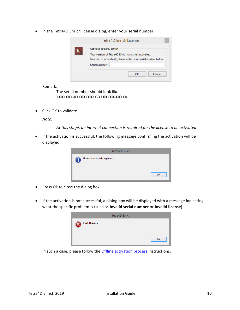• In the Tetra4D Enrich license dialog, enter your serial number

|    | Tetra4D Enrich License                                                                                                                                               |
|----|----------------------------------------------------------------------------------------------------------------------------------------------------------------------|
| TE | Activate Tetra4D Enrich<br>Your version of Tetra4D Enrich is not yet activated.<br>In order to activate it, please enter your serial number below.<br>Serial Number: |
|    | Cancel<br>ΩK                                                                                                                                                         |

Remark:

The serial number should look like: XXXXXXX-XXXXXXXXXX-XXXXXXX-XXXXX

• Click OK to validate

*Note:*

*At this stage, an internet connection is required for the license to be activated.*

• If the activation is successful, the following message confirming the activation will be displayed.

| <b>Tetra4D Enrich</b>            |           |
|----------------------------------|-----------|
| License successfully registered. | <b>OK</b> |

- Press Ok to close the dialog box.
- If the activation is not successful, a dialog box will be displayed with a message indicating what the specific problem is (such as **Invalid serial number** or **Invalid license**):

|                  | <b>Tetra4D Enrich</b> |    |
|------------------|-----------------------|----|
| Invalid License. |                       |    |
|                  |                       | OK |

In such a case, please follow the **Offline activation process** instructions.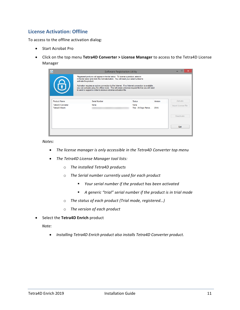#### <span id="page-10-0"></span>**License Activation: Offline**

To access to the offline activation dialog:

- Start Acrobat Pro
- Click on the top menu **Tetra4D Converter > License Manager** to access to the Tetra4D License Manager

| $\overline{\mathbf{Q}}$             | Software Registration Utility                                                                                                                                                                                                                                                 |                               |         |                     |
|-------------------------------------|-------------------------------------------------------------------------------------------------------------------------------------------------------------------------------------------------------------------------------------------------------------------------------|-------------------------------|---------|---------------------|
|                                     | Registered products will appear in the list below. To license a product, select it<br>in the list below and click the Activate button. You will need your serial number to<br>activate the product.                                                                           |                               |         |                     |
|                                     | Activation requires an active connection to the Internet. If no Internet connection is available.<br>you can activate using the offline mode. This will create a license request file that you will need<br>to send to support in order to receive a license activation file. |                               |         |                     |
| <b>Product Name</b>                 | Serial Number                                                                                                                                                                                                                                                                 | <b>Status</b>                 | Version | Activate            |
| Tetra4D Converter<br>Tetra4D Enrich | None                                                                                                                                                                                                                                                                          | None<br>Trial - 28 Days Remai | 2016    | Import License File |
|                                     |                                                                                                                                                                                                                                                                               |                               |         | <b>Deactivate</b>   |
|                                     |                                                                                                                                                                                                                                                                               |                               |         | Exit                |
|                                     |                                                                                                                                                                                                                                                                               |                               |         |                     |

*Notes:*

- *The license manager is only accessible in the Tetra4D Converter top menu*
- *The Tetra4D License Manager tool lists:*
	- o *The installed Tetra4D products*
	- o *The Serial number currently used for each product*
		- *Your serial number if the product has been activated*
		- *A generic "trial" serial number if the product is in trial mode*
	- o *The status of each product (Trial mode, registered…)*
	- o *The version of each product*
- Select the **Tetra4D Enrich** product

*Note:*

• *Installing Tetra4D Enrich product also installs Tetra4D Converter product.*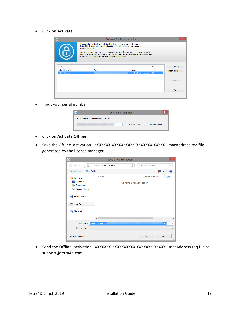• Click on **Activate**

| $\blacklozenge$     |                                                                                                                                                                                                                                                                                                                                                                                                                                                                                      | <b>Software Registration Utility</b> |         |                     |
|---------------------|--------------------------------------------------------------------------------------------------------------------------------------------------------------------------------------------------------------------------------------------------------------------------------------------------------------------------------------------------------------------------------------------------------------------------------------------------------------------------------------|--------------------------------------|---------|---------------------|
| 6                   | Registered products will appear in the list below. To license a product, select it<br>in the list below and click the Activate button. You will need your serial number to<br>activate the product.<br>Activation requires an active connection to the Internet. If no Internet connection is available.<br>you can activate using the offline mode. This will create a license request file that you will need<br>to send to support in order to receive a license activation file. |                                      |         |                     |
| <b>Product Name</b> | Serial Number                                                                                                                                                                                                                                                                                                                                                                                                                                                                        | <b>Status</b>                        | Version | Activate            |
| Tetra4D Converter   | None                                                                                                                                                                                                                                                                                                                                                                                                                                                                                 | None                                 |         | Import License File |
| Tetra4D Enrich      |                                                                                                                                                                                                                                                                                                                                                                                                                                                                                      | Trial - 28 Days Remai                | 2016    |                     |
|                     |                                                                                                                                                                                                                                                                                                                                                                                                                                                                                      |                                      |         | Deactivate          |
|                     |                                                                                                                                                                                                                                                                                                                                                                                                                                                                                      |                                      |         | Exit                |
|                     |                                                                                                                                                                                                                                                                                                                                                                                                                                                                                      |                                      |         |                     |

• Input your serial number

| <b>Enter Serial Number</b> |                                                   |  |  |
|----------------------------|---------------------------------------------------|--|--|
|                            | Enter your serial number below to activate.       |  |  |
|                            | <b>Activate Online</b><br><b>Activate Offline</b> |  |  |
|                            |                                                   |  |  |

- Click on **Activate Offline**
- Save the Offline\_activation\_ XXXXXXX-XXXXXXXXXX-XXXXXXX-XXXXX \_macAddress.req file generated by the license manager

| $\ddot{\Phi}$                                                                                                                            |                           | Save a license request           |                  |             | $\times$          |
|------------------------------------------------------------------------------------------------------------------------------------------|---------------------------|----------------------------------|------------------|-------------|-------------------|
| $(\Leftrightarrow$<br>⊖                                                                                                                  | This PC > Documents       | Ċ<br>v                           | Search Documents |             | ۹                 |
| Organize v<br>New folder                                                                                                                 |                           |                                  |                  | 988 ▼       |                   |
| <b>X</b> Favorites<br>Desktop<br><b>Downloads</b><br><b>Recent places</b><br><b>R</b> Homegroup<br><b>I</b> This PC<br><b>Gu</b> Network | Name                      | ×<br>No items match your search. | Date modified    | <b>Type</b> |                   |
|                                                                                                                                          | $\langle$                 |                                  |                  |             | $\rightarrow$     |
| File name:<br>Save as type:                                                                                                              | <b>Offline Activation</b> |                                  |                  | .req        | v<br>$\checkmark$ |
| <b>Hide Folders</b>                                                                                                                      |                           |                                  | Save             | Cancel      | $\mathcal{M}$     |

• Send the Offline\_activation\_ XXXXXXX-XXXXXXXXXX-XXXXXX-XXXXX \_macAddress.req file to [support@tetra4d.com](mailto:support@tetra4d.com)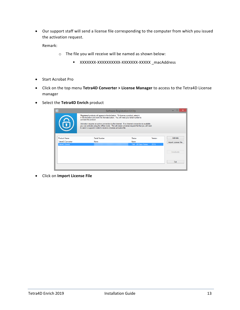• Our support staff will send a license file corresponding to the computer from which you issued the activation request.

Remark:

- o The file you will receive will be named as shown below:
	- XXXXXXX-XXXXXXXXXX-XXXXXXX-XXXXX \_macAddress
- Start Acrobat Pro
- Click on the top menu **Tetra4D Converter > License Manager** to access to the Tetra4D License manager
- Select the **Tetra4D Enrich** product

| $\overline{\Phi}$   | <b>Software Registration Utility</b>                                                                                                                                                                                                                                                                                                                                                                                                                                                 |                       |         |                     |
|---------------------|--------------------------------------------------------------------------------------------------------------------------------------------------------------------------------------------------------------------------------------------------------------------------------------------------------------------------------------------------------------------------------------------------------------------------------------------------------------------------------------|-----------------------|---------|---------------------|
| 6                   | Registered products will appear in the list below. To license a product, select it<br>in the list below and click the Activate button. You will need your serial number to<br>activate the product.<br>Activation requires an active connection to the Internet. If no Internet connection is available.<br>you can activate using the offline mode. This will create a license request file that you will need<br>to send to support in order to receive a license activation file. |                       |         |                     |
| <b>Product Name</b> | Serial Number                                                                                                                                                                                                                                                                                                                                                                                                                                                                        | <b>Status</b>         | Version | Activate            |
| Tetra4D Converter   | None                                                                                                                                                                                                                                                                                                                                                                                                                                                                                 | None                  |         | Import License File |
| Tetra4D Enrich      |                                                                                                                                                                                                                                                                                                                                                                                                                                                                                      | Trial - 28 Days Remai | 2016    |                     |
|                     |                                                                                                                                                                                                                                                                                                                                                                                                                                                                                      |                       |         | Deactivate          |
|                     |                                                                                                                                                                                                                                                                                                                                                                                                                                                                                      |                       |         | Exit                |

• Click on **Import License File**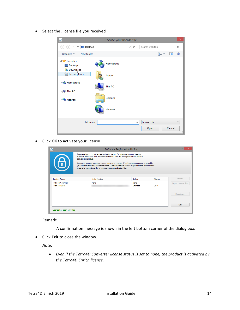• Select the .license file you received

| $\overline{\Phi}$                                               | Choose your license file |                                     |                          | $\boldsymbol{\mathsf{x}}$ |
|-----------------------------------------------------------------|--------------------------|-------------------------------------|--------------------------|---------------------------|
| Desktop ><br>$\rightarrow$<br>$\Leftarrow$<br>介                 |                          | Ċ<br>v                              | Search Desktop           | ۹                         |
| Organize $\blacktriangleright$<br>New folder                    |                          |                                     | 턃<br>$\blacksquare$<br>× | 0                         |
| <b>4 Favorites</b><br>Desktop<br>Downloam                       | Homegroup                |                                     |                          |                           |
| <b>Recent places</b>                                            | Support                  |                                     |                          |                           |
| <b>B</b> Homegroup                                              | This PC                  |                                     |                          |                           |
| $\triangleright$ [ $\blacksquare$ This PC<br><b>Exp</b> Network | Libraries                |                                     |                          |                           |
|                                                                 | <b>Network</b>           |                                     |                          |                           |
| File name:                                                      |                          | <b>License File</b><br>$\checkmark$ |                          | $\checkmark$              |
|                                                                 |                          |                                     | Cancel<br>Open           | A.                        |

• Click **OK** to activate your license

| $\overline{\mathbf{Q}}$             | Software Registration Utility                                                                                                                                                                                                                                                 |                   |         |                     |  |
|-------------------------------------|-------------------------------------------------------------------------------------------------------------------------------------------------------------------------------------------------------------------------------------------------------------------------------|-------------------|---------|---------------------|--|
|                                     | Registered products will appear in the list below. To license a product, select it<br>in the list below and click the Activate button. You will need your serial number to<br>activate the product.                                                                           |                   |         |                     |  |
| 6                                   | Activation requires an active connection to the Internet. If no Internet connection is available,<br>you can activate using the offline mode. This will create a license request file that you will need<br>to send to support in order to receive a license activation file. |                   |         |                     |  |
| <b>Product Name</b>                 | Serial Number                                                                                                                                                                                                                                                                 | Status            | Version | Activate            |  |
| Tetra4D Converter<br>Tetra4D Enrich | None                                                                                                                                                                                                                                                                          | None<br>Unlimited | 2016    | Import License File |  |
|                                     |                                                                                                                                                                                                                                                                               |                   |         | <b>Deactivate</b>   |  |
|                                     |                                                                                                                                                                                                                                                                               |                   |         | Exit                |  |
| License has been activated          |                                                                                                                                                                                                                                                                               |                   |         |                     |  |

Remark:

A confirmation message is shown in the left bottom corner of the dialog box.

• Click **Exit** to close the window.

*Note:*

• *Even if the Tetra4D Converter license status is set to none, the product is activated by the Tetra4D Enrich license.*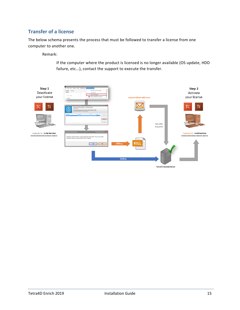#### <span id="page-14-0"></span>**Transfer of a license**

The below schema presents the process that must be followed to transfer a license from one computer to another one.

Remark:

If the computer where the product is licensed is no longer available (OS update, HDD failure, etc...), contact the support to execute the transfer.